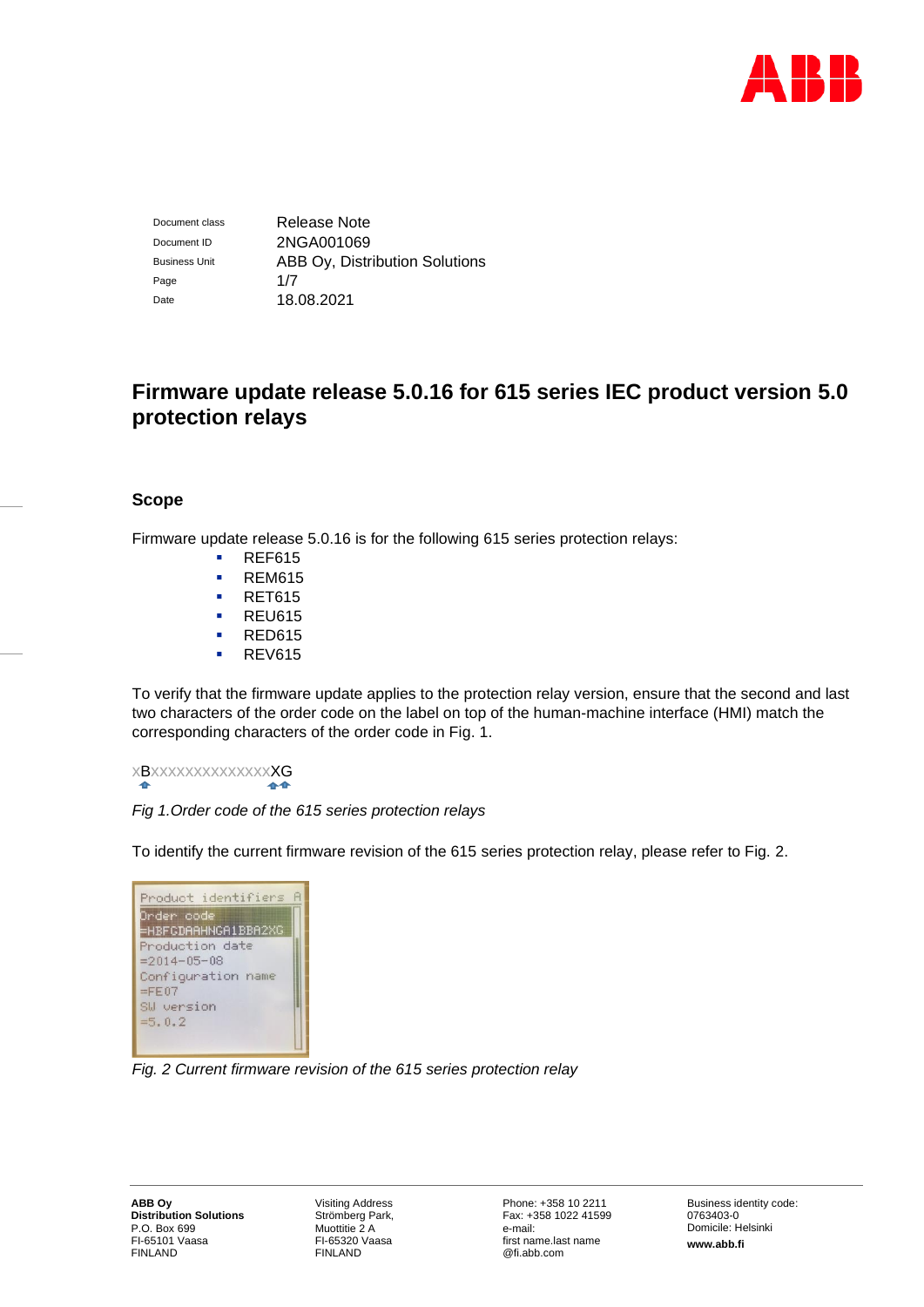

Document class Release Note Document ID 2NGA001069 Business Unit **ABB Oy, Distribution Solutions** Page 1/7 Date 18.08.2021

# **Firmware update release 5.0.16 for 615 series IEC product version 5.0 protection relays**

# **Scope**

Firmware update release 5.0.16 is for the following 615 series protection relays:

- REF615
- REM615
- RET615
- REU615
- RED615
- **REV615**

To verify that the firmware update applies to the protection relay version, ensure that the second and last two characters of the order code on the label on top of the human-machine interface (HMI) match the corresponding characters of the order code in Fig. 1.

xBxxxxxxxxxxxxxxXG 44

# *Fig 1.Order code of the 615 series protection relays*

To identify the current firmware revision of the 615 series protection relay, please refer to Fig. 2.

| Product identifiers A |  |
|-----------------------|--|
| Order code            |  |
| =HBFGDAAHNGA1BBA2XG   |  |
| Production date       |  |
| $= 2014 - 05 - 08$    |  |
| Configuration name    |  |
| $=$ FE07              |  |
| SW version            |  |
| $=5.0.2$              |  |
|                       |  |
|                       |  |

*Fig. 2 Current firmware revision of the 615 series protection relay*

Visiting Address Strömberg Park, Muottitie 2 A FI-65320 Vaasa FINLAND

Phone: +358 10 2211 Fax: +358 1022 41599 e-mail: first name.last name @fi.abb.com

Business identity code: 0763403-0 Domicile: Helsinki **www.abb.fi**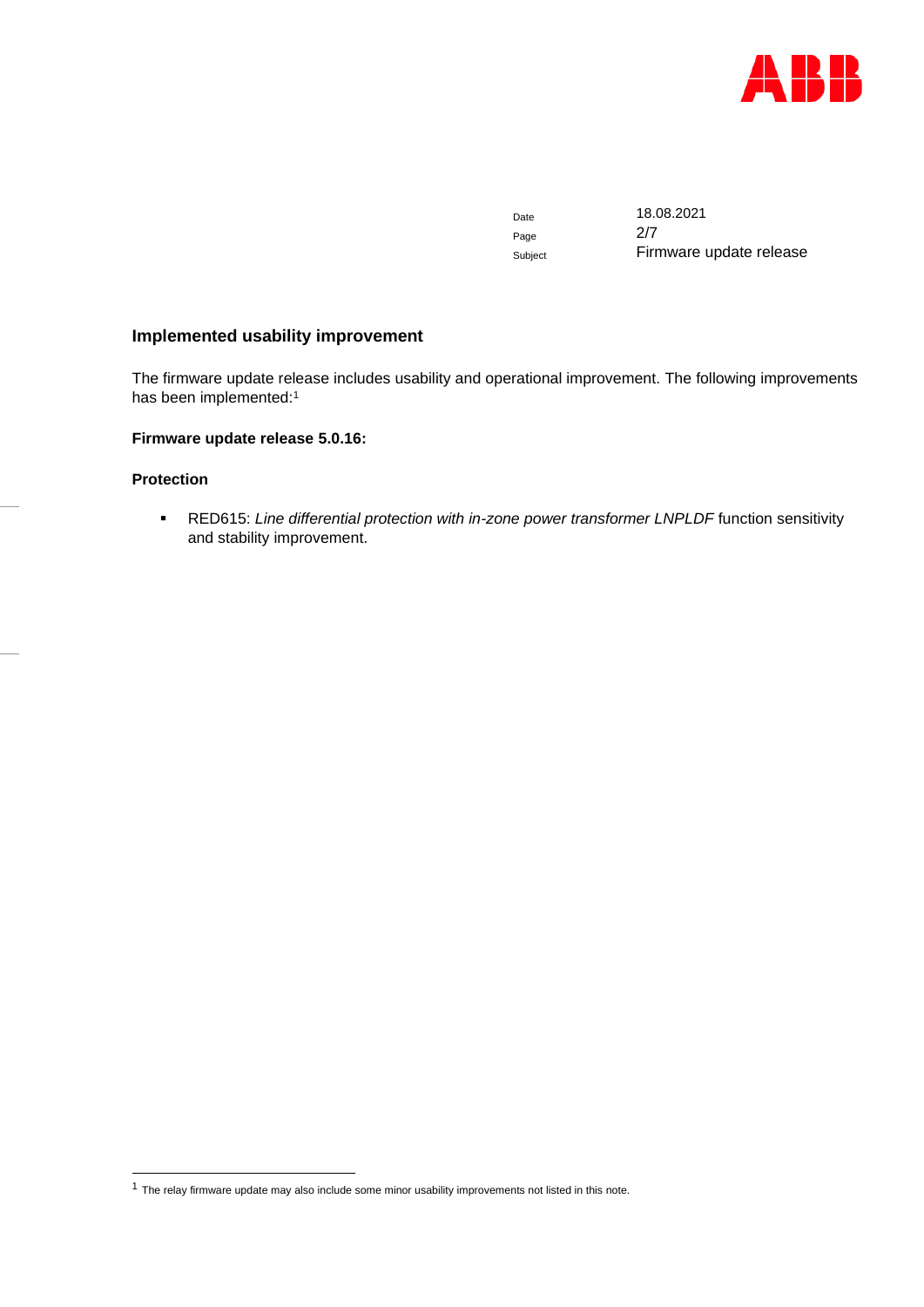

Page

Date 18.08.2021 Subject **Firmware update release** 

# **Implemented usability improvement**

The firmware update release includes usability and operational improvement. The following improvements has been implemented:<sup>1</sup>

# **Firmware update release 5.0.16:**

# **Protection**

▪ RED615: *Line differential protection with in-zone power transformer LNPLDF* function sensitivity and stability improvement.

 $1$  The relay firmware update may also include some minor usability improvements not listed in this note.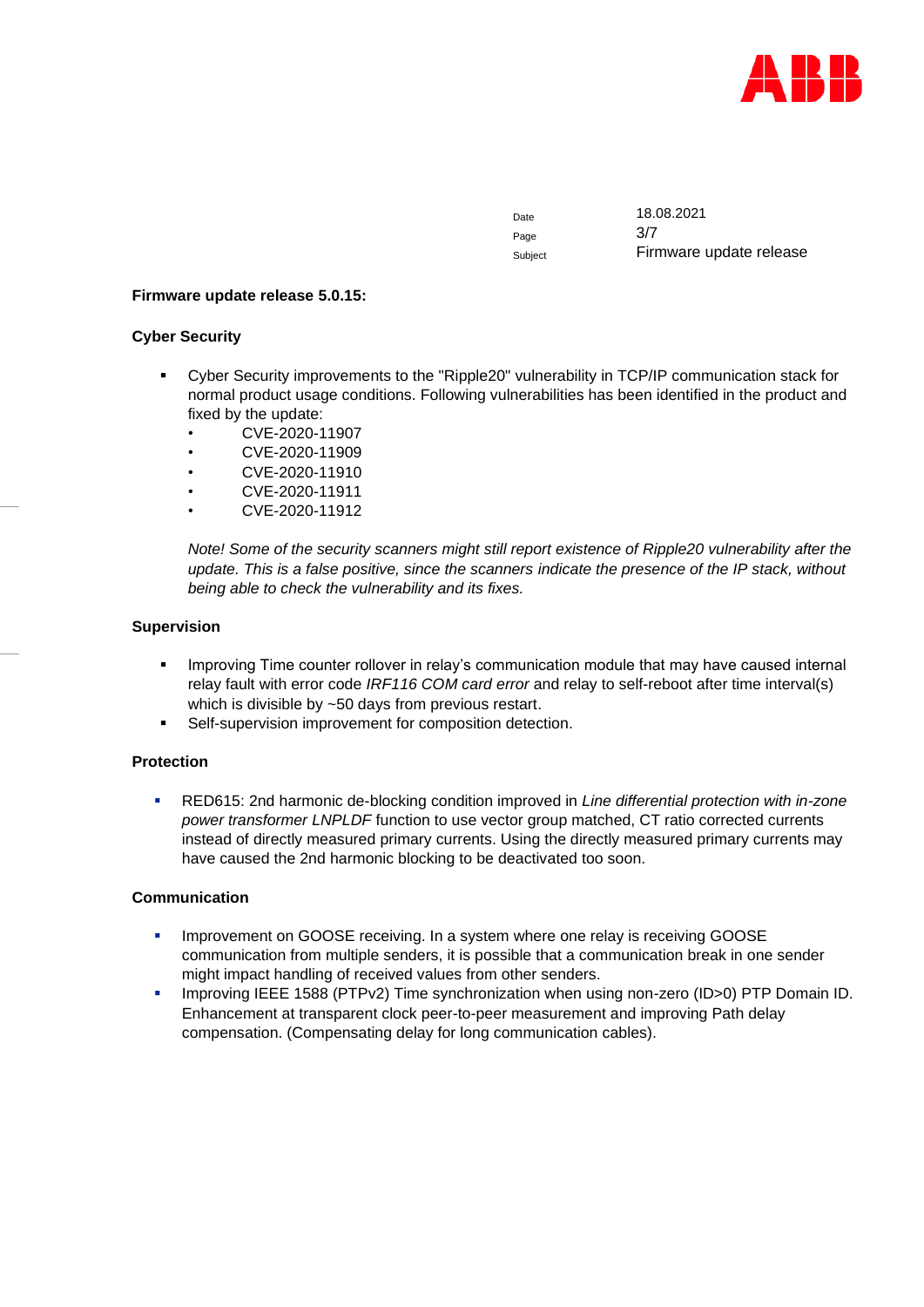

Page 3/7

Date 18.08.2021 Subject Firmware update release

## **Firmware update release 5.0.15:**

# **Cyber Security**

- Cyber Security improvements to the "Ripple20" vulnerability in TCP/IP communication stack for normal product usage conditions. Following vulnerabilities has been identified in the product and fixed by the update:
	- CVE-2020-11907
	- CVE-2020-11909
	- CVE-2020-11910
	- CVE-2020-11911
	- CVE-2020-11912

*Note! Some of the security scanners might still report existence of Ripple20 vulnerability after the update. This is a false positive, since the scanners indicate the presence of the IP stack, without being able to check the vulnerability and its fixes.*

# **Supervision**

- **•** Improving Time counter rollover in relay's communication module that may have caused internal relay fault with error code *IRF116 COM card error* and relay to self-reboot after time interval(s) which is divisible by ~50 days from previous restart.
- Self-supervision improvement for composition detection.

# **Protection**

▪ RED615: 2nd harmonic de-blocking condition improved in *Line differential protection with in-zone power transformer LNPLDF* function to use vector group matched, CT ratio corrected currents instead of directly measured primary currents. Using the directly measured primary currents may have caused the 2nd harmonic blocking to be deactivated too soon.

#### **Communication**

- **Improvement on GOOSE receiving. In a system where one relay is receiving GOOSE** communication from multiple senders, it is possible that a communication break in one sender might impact handling of received values from other senders.
- Improving IEEE 1588 (PTPv2) Time synchronization when using non-zero (ID>0) PTP Domain ID. Enhancement at transparent clock peer-to-peer measurement and improving Path delay compensation. (Compensating delay for long communication cables).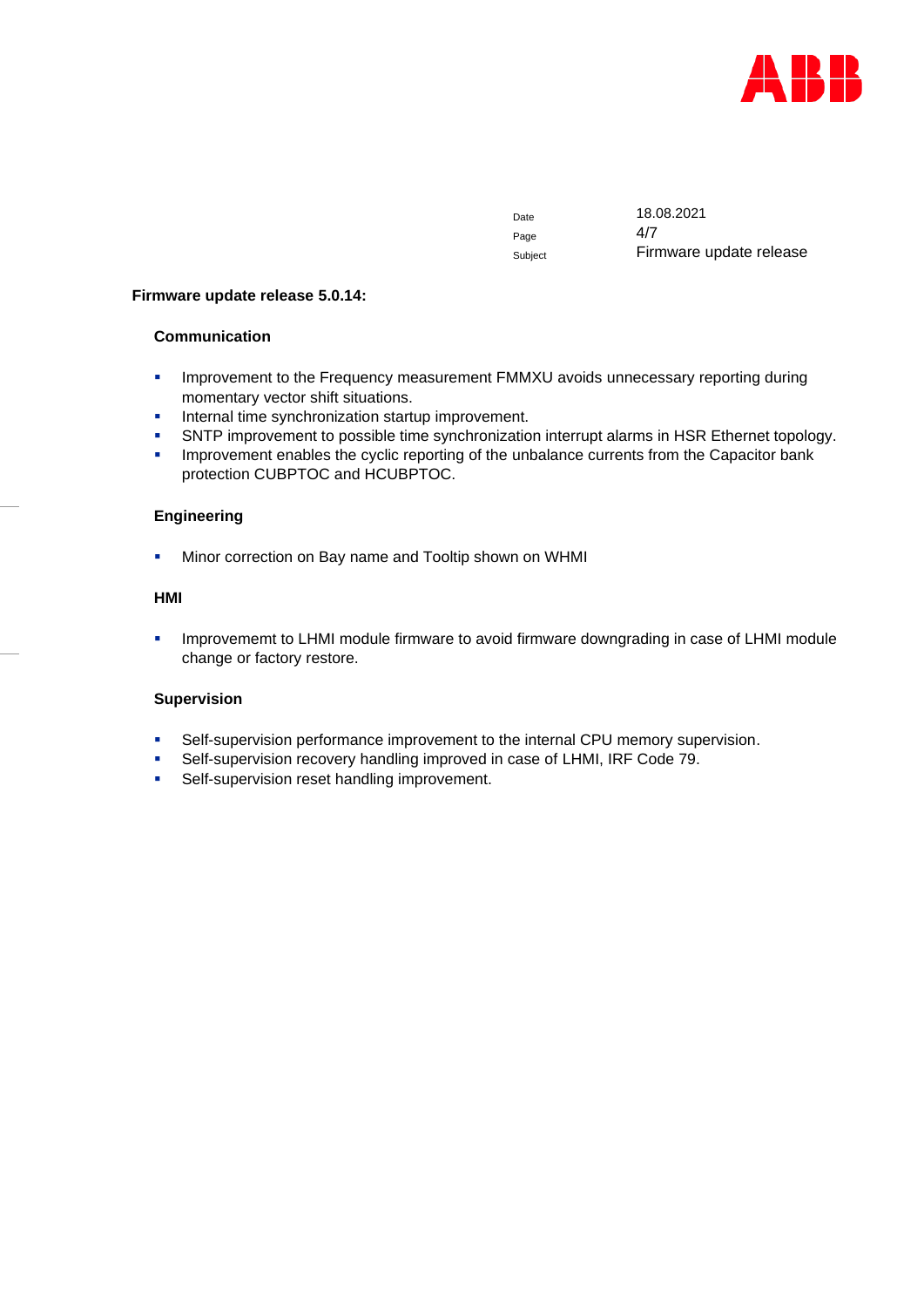

Page

Date 18.08.2021 Subject Firmware update release

#### **Firmware update release 5.0.14:**

# **Communication**

- **Improvement to the Frequency measurement FMMXU avoids unnecessary reporting during** momentary vector shift situations.
- **■** Internal time synchronization startup improvement.
- SNTP improvement to possible time synchronization interrupt alarms in HSR Ethernet topology.
- **·** Improvement enables the cyclic reporting of the unbalance currents from the Capacitor bank protection CUBPTOC and HCUBPTOC.

# **Engineering**

**■** Minor correction on Bay name and Tooltip shown on WHMI

# **HMI**

**• Improvememt to LHMI module firmware to avoid firmware downgrading in case of LHMI module** change or factory restore.

# **Supervision**

- **•** Self-supervision performance improvement to the internal CPU memory supervision.
- Self-supervision recovery handling improved in case of LHMI, IRF Code 79.
- **•** Self-supervision reset handling improvement.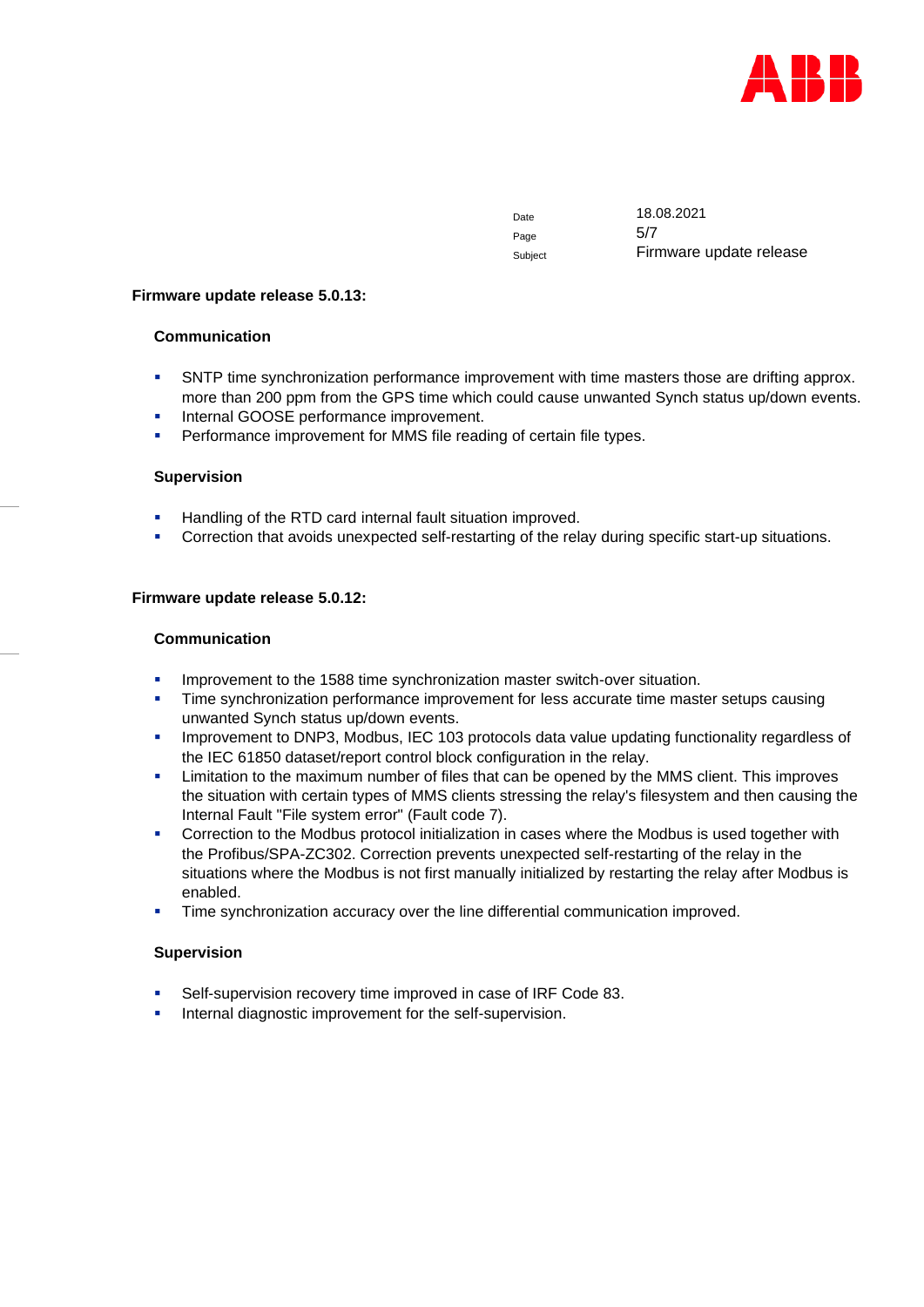

Page 5/7

Date 18.08.2021 Subject Firmware update release

#### **Firmware update release 5.0.13:**

## **Communication**

- **SNTP time synchronization performance improvement with time masters those are drifting approx.** more than 200 ppm from the GPS time which could cause unwanted Synch status up/down events.
- Internal GOOSE performance improvement.
- Performance improvement for MMS file reading of certain file types.

#### **Supervision**

- Handling of the RTD card internal fault situation improved.
- Correction that avoids unexpected self-restarting of the relay during specific start-up situations.

#### **Firmware update release 5.0.12:**

#### **Communication**

- Improvement to the 1588 time synchronization master switch-over situation.
- **Time synchronization performance improvement for less accurate time master setups causing** unwanted Synch status up/down events.
- **·** Improvement to DNP3, Modbus, IEC 103 protocols data value updating functionality regardless of the IEC 61850 dataset/report control block configuration in the relay.
- **EXECT** Limitation to the maximum number of files that can be opened by the MMS client. This improves the situation with certain types of MMS clients stressing the relay's filesystem and then causing the Internal Fault "File system error" (Fault code 7).
- **•** Correction to the Modbus protocol initialization in cases where the Modbus is used together with the Profibus/SPA-ZC302. Correction prevents unexpected self-restarting of the relay in the situations where the Modbus is not first manually initialized by restarting the relay after Modbus is enabled.
- **•** Time synchronization accuracy over the line differential communication improved.

#### **Supervision**

- Self-supervision recovery time improved in case of IRF Code 83.
- Internal diagnostic improvement for the self-supervision.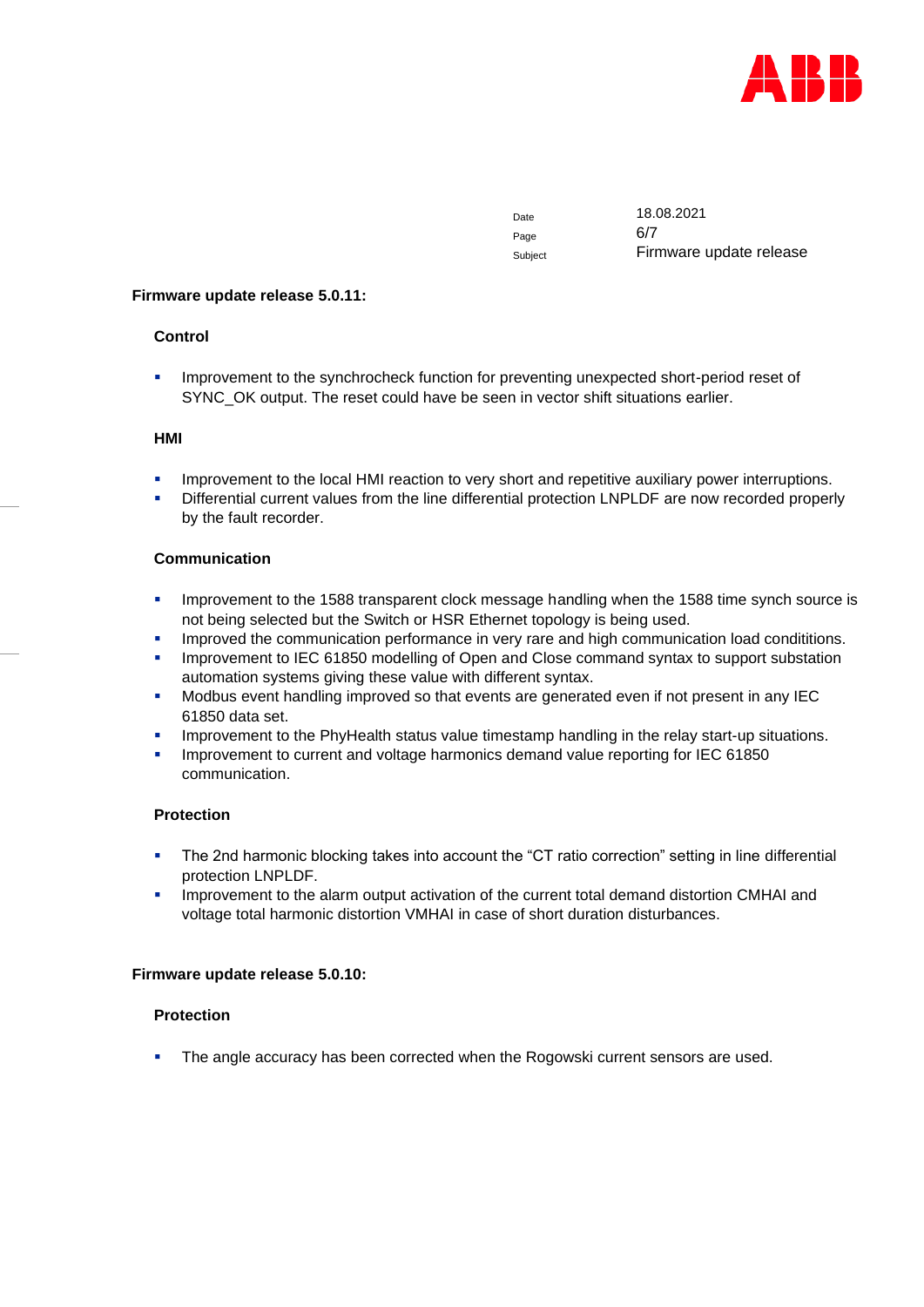

Page 6/7

Date 18.08.2021 Subject Firmware update release

## **Firmware update release 5.0.11:**

# **Control**

**•** Improvement to the synchrocheck function for preventing unexpected short-period reset of SYNC\_OK output. The reset could have be seen in vector shift situations earlier.

# **HMI**

- Improvement to the local HMI reaction to very short and repetitive auxiliary power interruptions.
- Differential current values from the line differential protection LNPLDF are now recorded properly by the fault recorder.

# **Communication**

- **Improvement to the 1588 transparent clock message handling when the 1588 time synch source is** not being selected but the Switch or HSR Ethernet topology is being used.
- Improved the communication performance in very rare and high communication load condititions.
- Improvement to IEC 61850 modelling of Open and Close command syntax to support substation automation systems giving these value with different syntax.
- Modbus event handling improved so that events are generated even if not present in any IEC 61850 data set.
- Improvement to the PhyHealth status value timestamp handling in the relay start-up situations.
- Improvement to current and voltage harmonics demand value reporting for IEC 61850 communication.

# **Protection**

- The 2nd harmonic blocking takes into account the "CT ratio correction" setting in line differential protection LNPLDF.
- **.** Improvement to the alarm output activation of the current total demand distortion CMHAI and voltage total harmonic distortion VMHAI in case of short duration disturbances.

#### **Firmware update release 5.0.10:**

# **Protection**

**•** The angle accuracy has been corrected when the Rogowski current sensors are used.